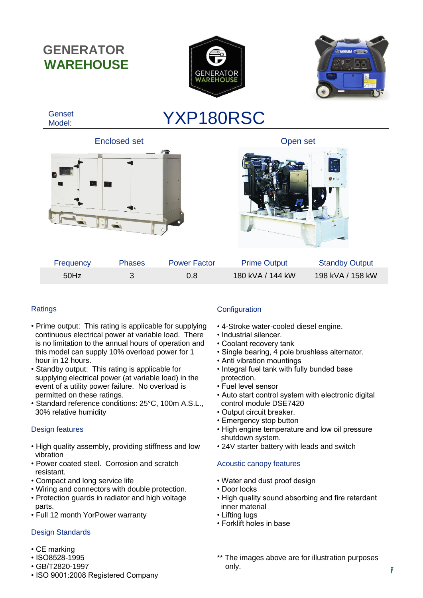**GENERATOR WAREHOUSE**







# **Ratings**

- Prime output: This rating is applicable for supplying continuous electrical power at variable load. There is no limitation to the annual hours of operation and this model can supply 10% overload power for 1 hour in 12 hours.
- Standby output: This rating is applicable for supplying electrical power (at variable load) in the event of a utility power failure. No overload is permitted on these ratings.
- Standard reference conditions: 25°C, 100m A.S.L., 30% relative humidity

## Design features

- High quality assembly, providing stiffness and low vibration
- Power coated steel. Corrosion and scratch resistant.
- Compact and long service life
- Wiring and connectors with double protection.
- Protection guards in radiator and high voltage parts.
- Full 12 month YorPower warranty

## Design Standards

- $T$  morking • CE marking  $\frac{1}{2}$
- ISO8528-1995
- GB/T2820-1997
- ISO 9001:2008 Registered Company

# **Configuration**

- 4-Stroke water-cooled diesel engine.
- Industrial silencer.
- Coolant recovery tank
- Single bearing, 4 pole brushless alternator.
- Anti vibration mountings
- Integral fuel tank with fully bunded base protection.
- Fuel level sensor
- Auto start control system with electronic digital control module DSE7420
- Output circuit breaker.
- Emergency stop button
- High engine temperature and low oil pressure shutdown system.
- 24V starter battery with leads and switch

## Acoustic canopy features

- Water and dust proof design
- Door locks
- High quality sound absorbing and fire retardant inner material
- Lifting lugs
- Forklift holes in base
- \*\* The images above are for illustration purposes only.